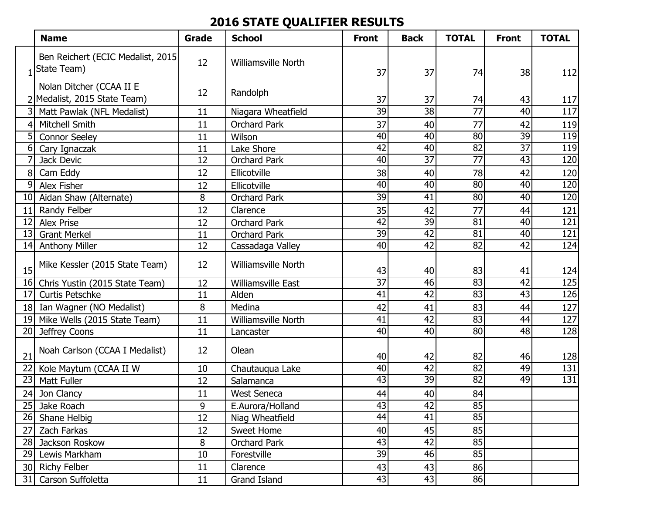## **2016 STATE QUALIFIER RESULTS**

|                 | <b>Name</b>                                              | Grade | <b>School</b>              | <b>Front</b>    | <b>Back</b>     | <b>TOTAL</b>    | <b>Front</b>    | <b>TOTAL</b>     |
|-----------------|----------------------------------------------------------|-------|----------------------------|-----------------|-----------------|-----------------|-----------------|------------------|
|                 | Ben Reichert (ECIC Medalist, 2015<br>State Team)         | 12    | <b>Williamsville North</b> | 37              | 37              | 74              | 38              | 112              |
|                 | Nolan Ditcher (CCAA II E<br>2 Medalist, 2015 State Team) | 12    | Randolph                   | 37              | 37              | 74              | 43              | 117              |
| 3               | Matt Pawlak (NFL Medalist)                               | 11    | Niagara Wheatfield         | $\overline{39}$ | $\overline{38}$ | $\overline{77}$ | 40              | $\overline{117}$ |
|                 | <b>Mitchell Smith</b>                                    | 11    | <b>Orchard Park</b>        | 37              | 40              | 77              | 42              | 119              |
| 5               | <b>Connor Seeley</b>                                     | 11    | Wilson                     | 40              | 40              | $\overline{80}$ | $\overline{39}$ | 119              |
| 6               | Cary Ignaczak                                            | 11    | Lake Shore                 | 42              | $\overline{40}$ | $\overline{82}$ | $\overline{37}$ | 119              |
|                 | Jack Devic                                               | 12    | <b>Orchard Park</b>        | 40              | $\overline{37}$ | $\overline{77}$ | 43              | 120              |
| 8               | Cam Eddy                                                 | 12    | Ellicotville               | 38              | 40              | 78              | 42              | 120              |
| 9               | Alex Fisher                                              | 12    | Ellicotville               | 40              | 40              | $\overline{80}$ | 40              | 120              |
| 10              | Aidan Shaw (Alternate)                                   | 8     | <b>Orchard Park</b>        | $\overline{39}$ | 41              | 80              | 40              | 120              |
| 11              | Randy Felber                                             | 12    | Clarence                   | 35              | 42              | 77              | 44              | 121              |
| 12              | <b>Alex Prise</b>                                        | 12    | Orchard Park               | 42              | 39              | 81              | 40              | $\overline{121}$ |
| 13              | <b>Grant Merkel</b>                                      | 11    | <b>Orchard Park</b>        | 39              | 42              | 81              | 40              | 121              |
| 14              | <b>Anthony Miller</b>                                    | 12    | Cassadaga Valley           | 40              | 42              | $\overline{82}$ | 42              | 124              |
| 15              | Mike Kessler (2015 State Team)                           | 12    | <b>Williamsville North</b> | 43              | 40              | 83              | 41              | 124              |
| 16              | Chris Yustin (2015 State Team)                           | 12    | <b>Williamsville East</b>  | $\overline{37}$ | 46              | 83              | 42              | 125              |
| 17              | <b>Curtis Petschke</b>                                   | 11    | Alden                      | 41              | 42              | $\overline{83}$ | 43              | 126              |
| 18              | Ian Wagner (NO Medalist)                                 | 8     | Medina                     | 42              | 41              | 83              | 44              | 127              |
| 19              | Mike Wells (2015 State Team)                             | 11    | Williamsville North        | 41              | $\overline{42}$ | 83              | $\overline{44}$ | $\overline{127}$ |
| 20              | Jeffrey Coons                                            | 11    | Lancaster                  | 40              | $\overline{40}$ | 80              | 48              | $\overline{128}$ |
| 21              | Noah Carlson (CCAA I Medalist)                           | 12    | Olean                      | 40              | 42              | 82              | 46              | 128              |
| $\overline{22}$ | Kole Maytum (CCAA II W                                   | 10    | Chautauqua Lake            | 40              | 42              | 82              | 49              | $\overline{131}$ |
| 23              | Matt Fuller                                              | 12    | Salamanca                  | 43              | 39              | $\overline{82}$ | 49              | 131              |
| 24              | Jon Clancy                                               | 11    | <b>West Seneca</b>         | 44              | 40              | 84              |                 |                  |
| 25              | Jake Roach                                               | 9     | E.Aurora/Holland           | 43              | 42              | 85              |                 |                  |
|                 | 26 Shane Helbig                                          | 12    | Niag Wheatfield            | $\overline{44}$ | 41              | 85              |                 |                  |
| 27              | Zach Farkas                                              | 12    | Sweet Home                 | 40              | 45              | 85              |                 |                  |
| 28              | Jackson Roskow                                           | 8     | <b>Orchard Park</b>        | 43              | 42              | 85              |                 |                  |
| 29              | Lewis Markham                                            | 10    | Forestville                | 39              | 46              | 85              |                 |                  |
|                 | 30 Richy Felber                                          | 11    | Clarence                   | 43              | 43              | 86              |                 |                  |
| 31              | Carson Suffoletta                                        | 11    | Grand Island               | 43              | 43              | 86              |                 |                  |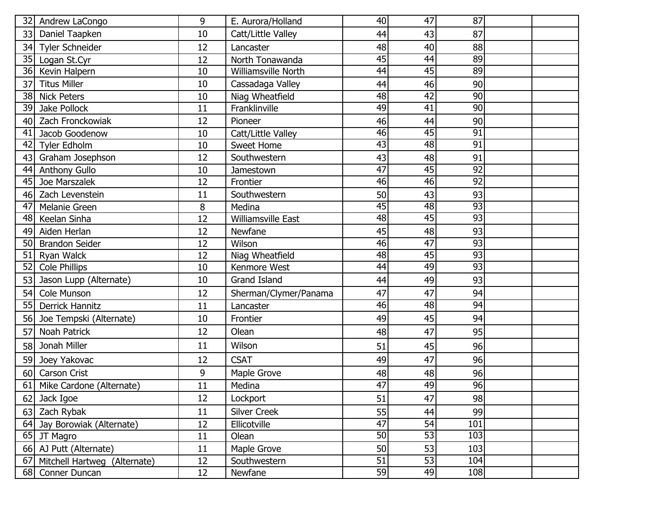| 32 | Andrew LaCongo               | 9  | E. Aurora/Holland         | 40              | 47              | 87              |  |
|----|------------------------------|----|---------------------------|-----------------|-----------------|-----------------|--|
| 33 | Daniel Taapken               | 10 | Catt/Little Valley        | 44              | 43              | 87              |  |
| 34 | Tyler Schneider              | 12 | Lancaster                 | 48              | 40              | 88              |  |
| 35 | Logan St.Cyr                 | 12 | North Tonawanda           | 45              | 44              | 89              |  |
| 36 | Kevin Halpern                | 10 | Williamsville North       | 44              | 45              | 89              |  |
| 37 | <b>Titus Miller</b>          | 10 | Cassadaga Valley          | 44              | 46              | 90              |  |
| 38 | <b>Nick Peters</b>           | 10 | Niag Wheatfield           | 48              | 42              | 90              |  |
| 39 | Jake Pollock                 | 11 | Franklinville             | 49              | 41              | 90              |  |
| 40 | Zach Fronckowiak             | 12 | Pioneer                   | 46              | 44              | 90              |  |
| 41 | Jacob Goodenow               | 10 | Catt/Little Valley        | 46              | 45              | 91              |  |
| 42 | <b>Tyler Edholm</b>          | 10 | <b>Sweet Home</b>         | 43              | 48              | 91              |  |
| 43 | Graham Josephson             | 12 | Southwestern              | 43              | 48              | 91              |  |
| 44 | <b>Anthony Gullo</b>         | 10 | Jamestown                 | 47              | 45              | 92              |  |
| 45 | Joe Marszalek                | 12 | Frontier                  | 46              | 46              | $\overline{92}$ |  |
| 46 | Zach Levenstein              | 11 | Southwestern              | 50              | 43              | 93              |  |
| 47 | <b>Melanie Green</b>         | 8  | Medina                    | 45              | $\overline{48}$ | 93              |  |
| 48 | Keelan Sinha                 | 12 | <b>Williamsville East</b> | 48              | 45              | 93              |  |
| 49 | Aiden Herlan                 | 12 | Newfane                   | 45              | 48              | 93              |  |
| 50 | <b>Brandon Seider</b>        | 12 | Wilson                    | 46              | 47              | 93              |  |
| 51 | Ryan Walck                   | 12 | Niag Wheatfield           | 48              | $\overline{45}$ | 93              |  |
| 52 | <b>Cole Phillips</b>         | 10 | Kenmore West              | 44              | 49              | 93              |  |
| 53 | Jason Lupp (Alternate)       | 10 | <b>Grand Island</b>       | 44              | 49              | 93              |  |
| 54 | Cole Munson                  | 12 | Sherman/Clymer/Panama     | 47              | 47              | 94              |  |
| 55 | <b>Derrick Hannitz</b>       | 11 | Lancaster                 | 46              | 48              | 94              |  |
| 56 | Joe Tempski (Alternate)      | 10 | Frontier                  | 49              | 45              | 94              |  |
| 57 | <b>Noah Patrick</b>          | 12 | Olean                     | 48              | 47              | 95              |  |
| 58 | Jonah Miller                 | 11 | Wilson                    | 51              | 45              | 96              |  |
| 59 | Joey Yakovac                 | 12 | <b>CSAT</b>               | 49              | 47              | 96              |  |
| 60 | Carson Crist                 | 9  | Maple Grove               | 48              | 48              | 96              |  |
| 61 | Mike Cardone (Alternate)     | 11 | Medina                    | $\overline{47}$ | 49              | 96              |  |
|    | 62 Jack Igoe                 | 12 | Lockport                  | 51              | 47              | 98              |  |
| 63 | Zach Rybak                   | 11 | <b>Silver Creek</b>       | 55              | 44              | 99              |  |
| 64 | Jay Borowiak (Alternate)     | 12 | Ellicotville              | 47              | 54              | 101             |  |
| 65 | JT Magro                     | 11 | Olean                     | 50              | 53              | 103             |  |
| 66 | AJ Putt (Alternate)          | 11 | Maple Grove               | 50              | 53              | 103             |  |
| 67 | Mitchell Hartweg (Alternate) | 12 | Southwestern              | $\overline{51}$ | 53              | 104             |  |
|    | 68 Conner Duncan             | 12 | Newfane                   | 59              | 49              | 108             |  |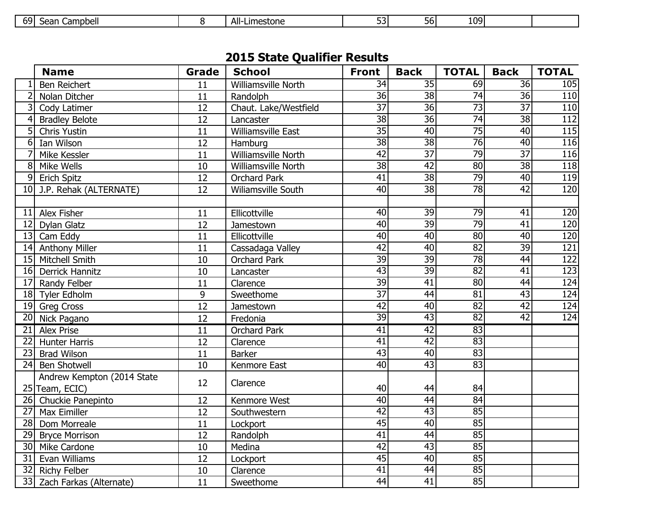| <b>691</b><br>All-<br>Campbell<br>Limestone<br>-non<br>וסכ<br>⊃⊏aı '<br>-- | --<br>1091 |
|----------------------------------------------------------------------------|------------|
|----------------------------------------------------------------------------|------------|

## **2015 State Qualifier Results**

|                 | <b>Name</b>                                  | Grade           | <b>School</b>              | <b>Front</b>    | <b>Back</b>     | <b>TOTAL</b>    | <b>Back</b>     | <b>TOTAL</b>     |
|-----------------|----------------------------------------------|-----------------|----------------------------|-----------------|-----------------|-----------------|-----------------|------------------|
|                 | <b>Ben Reichert</b>                          | 11              | Williamsville North        | 34              | $\overline{35}$ | 69              | 36              | 105              |
|                 | Nolan Ditcher                                | 11              | Randolph                   | $\overline{36}$ | 38              | $\overline{74}$ | 36              | 110              |
| 3               | Cody Latimer                                 | 12              | Chaut. Lake/Westfield      | $\overline{37}$ | $\overline{36}$ | $\overline{73}$ | $\overline{37}$ | $\overline{110}$ |
| 4               | <b>Bradley Belote</b>                        | 12              | Lancaster                  | $\overline{38}$ | $\overline{36}$ | $\overline{74}$ | $\overline{38}$ | $\overline{112}$ |
| 5               | <b>Chris Yustin</b>                          | $\overline{11}$ | <b>Williamsville East</b>  | $\overline{35}$ | 40              | $\overline{75}$ | 40              | $\overline{115}$ |
| 6               | Ian Wilson                                   | $\overline{12}$ | Hamburg                    | $\overline{38}$ | $\overline{38}$ | $\overline{76}$ | 40              | 116              |
|                 | Mike Kessler                                 | 11              | Williamsville North        | $\overline{42}$ | $\overline{37}$ | 79              | $\overline{37}$ | 116              |
| 8               | Mike Wells                                   | 10              | <b>Williamsville North</b> | $\overline{38}$ | 42              | 80              | $\overline{38}$ | 118              |
| 9               | <b>Erich Spitz</b>                           | 12              | <b>Orchard Park</b>        | $\overline{41}$ | $\overline{38}$ | 79              | $\overline{40}$ | 119              |
| 10              | J.P. Rehak (ALTERNATE)                       | $\overline{12}$ | <b>Wiliamsville South</b>  | 40              | $\overline{38}$ | $\overline{78}$ | 42              | $\overline{120}$ |
|                 |                                              |                 |                            |                 |                 |                 |                 |                  |
| 11              | Alex Fisher                                  | 11              | Ellicottville              | 40              | $\overline{39}$ | 79              | 41              | 120              |
| 12              | <b>Dylan Glatz</b>                           | 12              | Jamestown                  | 40              | $\overline{39}$ | $\overline{79}$ | 41              | 120              |
| 13              | Cam Eddy                                     | 11              | Ellicottville              | 40              | 40              | 80              | 40              | 120              |
| 14              | <b>Anthony Miller</b>                        | 11              | Cassadaga Valley           | 42              | 40              | $\overline{82}$ | 39              | 121              |
| 15              | Mitchell Smith                               | 10              | <b>Orchard Park</b>        | $\overline{39}$ | $\overline{39}$ | $\overline{78}$ | $\overline{44}$ | 122              |
| 16              | <b>Derrick Hannitz</b>                       | 10              | Lancaster                  | 43              | $\overline{39}$ | $\overline{82}$ | $\overline{41}$ | 123              |
| 17              | Randy Felber                                 | 11              | Clarence                   | 39              | $\overline{41}$ | 80              | $\overline{44}$ | 124              |
| 18              | Tyler Edholm                                 | 9               | Sweethome                  | $\overline{37}$ | 44              | 81              | $\overline{43}$ | $\overline{124}$ |
| 19              | <b>Greg Cross</b>                            | 12              | Jamestown                  | $\overline{42}$ | 40              | $\overline{82}$ | 42              | $\overline{124}$ |
| 20              | Nick Pagano                                  | 12              | Fredonia                   | 39              | $\overline{43}$ | $\overline{82}$ | 42              | 124              |
| 21              | <b>Alex Prise</b>                            | $\overline{11}$ | <b>Orchard Park</b>        | 41              | 42              | 83              |                 |                  |
| 22              | <b>Hunter Harris</b>                         | 12              | Clarence                   | $\overline{41}$ | $\overline{42}$ | $\overline{83}$ |                 |                  |
| 23              | <b>Brad Wilson</b>                           | 11              | <b>Barker</b>              | 43              | 40              | 83              |                 |                  |
| 24              | <b>Ben Shotwell</b>                          | 10              | Kenmore East               | 40              | 43              | 83              |                 |                  |
|                 | Andrew Kempton (2014 State<br>25 Team, ECIC) | 12              | Clarence                   | 40              | 44              | 84              |                 |                  |
| 26              | Chuckie Panepinto                            | 12              | Kenmore West               | 40              | 44              | $\overline{84}$ |                 |                  |
| 27              | <b>Max Eimiller</b>                          | 12              | Southwestern               | 42              | 43              | 85              |                 |                  |
| 28              | Dom Morreale                                 | 11              | Lockport                   | 45              | 40              | 85              |                 |                  |
| 29              | <b>Bryce Morrison</b>                        | 12              | Randolph                   | $\overline{41}$ | $\overline{44}$ | 85              |                 |                  |
| 30 <sup>°</sup> | Mike Cardone                                 | 10              | Medina                     | 42              | $\overline{43}$ | 85              |                 |                  |
| 31              | Evan Williams                                | 12              | Lockport                   | 45              | $\overline{40}$ | 85              |                 |                  |
| 32              | <b>Richy Felber</b>                          | 10              | Clarence                   | 41              | $\overline{44}$ | 85              |                 |                  |
| 33              | Zach Farkas (Alternate)                      | 11              | Sweethome                  | $\overline{44}$ | $\overline{41}$ | 85              |                 |                  |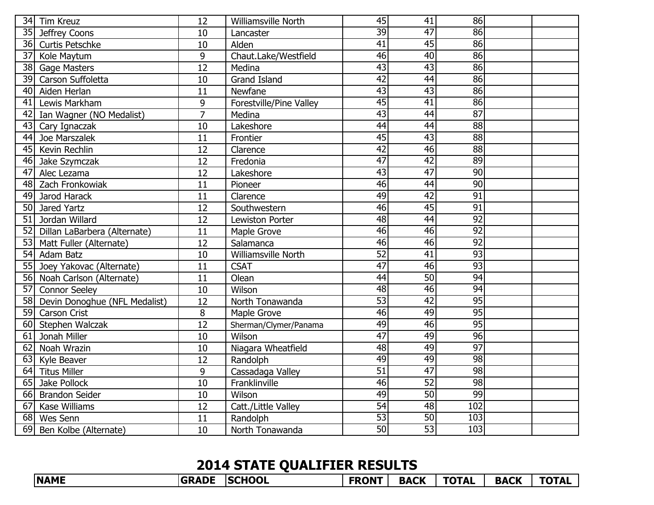| 34 | <b>Tim Kreuz</b>              | 12              | Williamsville North     | $\overline{45}$ | 41              | 86              |  |
|----|-------------------------------|-----------------|-------------------------|-----------------|-----------------|-----------------|--|
| 35 | Jeffrey Coons                 | 10              | Lancaster               | $\overline{39}$ | $\overline{47}$ | $\overline{86}$ |  |
| 36 | <b>Curtis Petschke</b>        | 10              | Alden                   | $\overline{41}$ | $\overline{45}$ | $\overline{86}$ |  |
| 37 | Kole Maytum                   | 9               | Chaut.Lake/Westfield    | 46              | 40              | 86              |  |
| 38 | <b>Gage Masters</b>           | 12              | Medina                  | $\overline{43}$ | $\overline{43}$ | $\overline{86}$ |  |
| 39 | Carson Suffoletta             | 10              | <b>Grand Island</b>     | $\overline{42}$ | $\overline{44}$ | 86              |  |
| 40 | Aiden Herlan                  | 11              | Newfane                 | 43              | $\overline{43}$ | 86              |  |
| 41 | Lewis Markham                 | 9               | Forestville/Pine Valley | $\overline{45}$ | 41              | 86              |  |
| 42 | Ian Wagner (NO Medalist)      | $\overline{7}$  | Medina                  | $\overline{43}$ | $\overline{44}$ | $\overline{87}$ |  |
| 43 | Cary Ignaczak                 | 10              | Lakeshore               | $\overline{44}$ | 44              | 88              |  |
| 44 | Joe Marszalek                 | 11              | Frontier                | 45              | $\overline{43}$ | 88              |  |
| 45 | Kevin Rechlin                 | 12              | Clarence                | 42              | 46              | $\overline{88}$ |  |
| 46 | Jake Szymczak                 | 12              | Fredonia                | $\overline{47}$ | $\overline{42}$ | 89              |  |
| 47 | Alec Lezama                   | 12              | Lakeshore               | $\overline{43}$ | 47              | $\overline{90}$ |  |
| 48 | Zach Fronkowiak               | 11              | Pioneer                 | 46              | $\overline{44}$ | 90              |  |
| 49 | Jarod Harack                  | 11              | Clarence                | 49              | $\overline{42}$ | $\overline{91}$ |  |
| 50 | Jared Yartz                   | 12              | Southwestern            | 46              | $\overline{45}$ | $\overline{91}$ |  |
| 51 | Jordan Willard                | 12              | Lewiston Porter         | 48              | $\overline{44}$ | 92              |  |
| 52 | Dillan LaBarbera (Alternate)  | 11              | Maple Grove             | 46              | 46              | $\overline{92}$ |  |
| 53 | Matt Fuller (Alternate)       | 12              | Salamanca               | 46              | $\overline{46}$ | $\overline{92}$ |  |
| 54 | Adam Batz                     | 10              | Williamsville North     | $\overline{52}$ | $\overline{41}$ | $\overline{93}$ |  |
| 55 | Joey Yakovac (Alternate)      | 11              | <b>CSAT</b>             | 47              | $\overline{46}$ | $\overline{93}$ |  |
| 56 | Noah Carlson (Alternate)      | 11              | Olean                   | 44              | $\overline{50}$ | 94              |  |
| 57 | <b>Connor Seeley</b>          | 10              | Wilson                  | 48              | 46              | 94              |  |
| 58 | Devin Donoghue (NFL Medalist) | 12              | North Tonawanda         | $\overline{53}$ | $\overline{42}$ | $\overline{95}$ |  |
| 59 | <b>Carson Crist</b>           | 8               | Maple Grove             | 46              | 49              | 95              |  |
| 60 | Stephen Walczak               | $\overline{12}$ | Sherman/Clymer/Panama   | 49              | 46              | $\overline{95}$ |  |
| 61 | Jonah Miller                  | 10              | Wilson                  | 47              | 49              | 96              |  |
| 62 | Noah Wrazin                   | 10              | Niagara Wheatfield      | 48              | 49              | $\overline{97}$ |  |
| 63 | Kyle Beaver                   | 12              | Randolph                | 49              | 49              | 98              |  |
| 64 | <b>Titus Miller</b>           | 9               | Cassadaga Valley        | $\overline{51}$ | $\overline{47}$ | 98              |  |
| 65 | Jake Pollock                  | 10              | Franklinville           | 46              | $\overline{52}$ | 98              |  |
|    | 66 Brandon Seider             | 10              | Wilson                  | 49              | 50              | 99              |  |
| 67 | Kase Williams                 | 12              | Catt./Little Valley     | $\overline{54}$ | $\overline{48}$ | 102             |  |
| 68 | Wes Senn                      | 11              | Randolph                | 53              | 50              | 103             |  |
| 69 | Ben Kolbe (Alternate)         | 10              | North Tonawanda         | $\overline{50}$ | 53              | 103             |  |

## **2014 STATE QUALIFIER RESULTS**

| <b>NAME</b> | <b>GRADE</b> | <b>SCHOOL</b> | <b>FRONT</b> | <b>BACK</b> | <b>TOTAL</b> | <b>BACK</b> | <b>TOTAL</b> |
|-------------|--------------|---------------|--------------|-------------|--------------|-------------|--------------|
|             |              |               |              |             |              |             |              |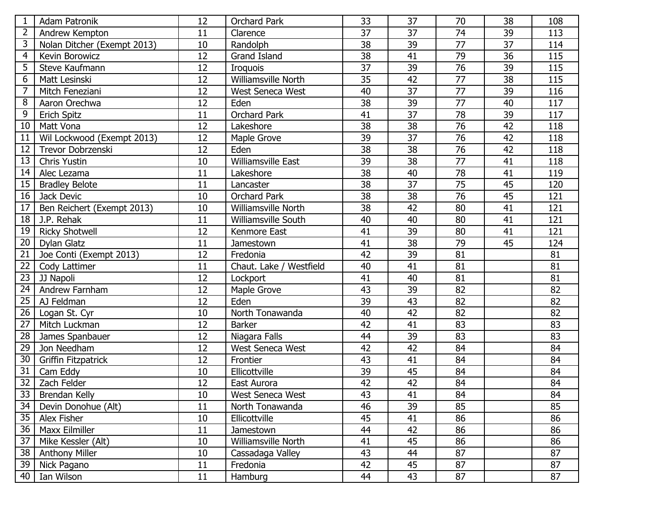| $\mathbf 1$    | <b>Adam Patronik</b>        | 12 | Orchard Park              | 33              | 37 | 70              | 38              | 108 |
|----------------|-----------------------------|----|---------------------------|-----------------|----|-----------------|-----------------|-----|
| $\overline{2}$ | Andrew Kempton              | 11 | Clarence                  | 37              | 37 | 74              | 39              | 113 |
| 3              | Nolan Ditcher (Exempt 2013) | 10 | Randolph                  | 38              | 39 | $\overline{77}$ | $\overline{37}$ | 114 |
| 4              | Kevin Borowicz              | 12 | <b>Grand Island</b>       | 38              | 41 | 79              | 36              | 115 |
| 5              | Steve Kaufmann              | 12 | <b>Iroquois</b>           | 37              | 39 | 76              | 39              | 115 |
| 6              | Matt Lesinski               | 12 | Williamsville North       | 35              | 42 | 77              | 38              | 115 |
| 7              | Mitch Feneziani             | 12 | <b>West Seneca West</b>   | 40              | 37 | 77              | 39              | 116 |
| 8              | Aaron Orechwa               | 12 | Eden                      | 38              | 39 | 77              | 40              | 117 |
| 9              | <b>Erich Spitz</b>          | 11 | <b>Orchard Park</b>       | 41              | 37 | 78              | 39              | 117 |
| 10             | Matt Vona                   | 12 | Lakeshore                 | 38              | 38 | 76              | 42              | 118 |
| 11             | Wil Lockwood (Exempt 2013)  | 12 | Maple Grove               | 39              | 37 | 76              | 42              | 118 |
| 12             | Trevor Dobrzenski           | 12 | Eden                      | 38              | 38 | 76              | 42              | 118 |
| 13             | Chris Yustin                | 10 | <b>Williamsville East</b> | 39              | 38 | 77              | 41              | 118 |
| 14             | Alec Lezama                 | 11 | Lakeshore                 | $\overline{38}$ | 40 | $\overline{78}$ | $\overline{41}$ | 119 |
| 15             | <b>Bradley Belote</b>       | 11 | Lancaster                 | 38              | 37 | 75              | 45              | 120 |
| 16             | Jack Devic                  | 10 | <b>Orchard Park</b>       | 38              | 38 | 76              | 45              | 121 |
| 17             | Ben Reichert (Exempt 2013)  | 10 | Williamsville North       | 38              | 42 | 80              | 41              | 121 |
| 18             | J.P. Rehak                  | 11 | Williamsville South       | 40              | 40 | 80              | 41              | 121 |
| 19             | <b>Ricky Shotwell</b>       | 12 | Kenmore East              | 41              | 39 | 80              | 41              | 121 |
| 20             | <b>Dylan Glatz</b>          | 11 | Jamestown                 | 41              | 38 | 79              | 45              | 124 |
| 21             | Joe Conti (Exempt 2013)     | 12 | Fredonia                  | 42              | 39 | 81              |                 | 81  |
| 22             | Cody Lattimer               | 11 | Chaut. Lake / Westfield   | 40              | 41 | 81              |                 | 81  |
| 23             | JJ Napoli                   | 12 | Lockport                  | 41              | 40 | 81              |                 | 81  |
| 24             | Andrew Farnham              | 12 | Maple Grove               | 43              | 39 | 82              |                 | 82  |
| 25             | AJ Feldman                  | 12 | Eden                      | 39              | 43 | 82              |                 | 82  |
| 26             | Logan St. Cyr               | 10 | North Tonawanda           | 40              | 42 | 82              |                 | 82  |
| 27             | Mitch Luckman               | 12 | <b>Barker</b>             | 42              | 41 | 83              |                 | 83  |
| 28             | James Spanbauer             | 12 | Niagara Falls             | 44              | 39 | 83              |                 | 83  |
| 29             | Jon Needham                 | 12 | West Seneca West          | 42              | 42 | 84              |                 | 84  |
| 30             | Griffin Fitzpatrick         | 12 | Frontier                  | 43              | 41 | 84              |                 | 84  |
| 31             | Cam Eddy                    | 10 | Ellicottville             | 39              | 45 | 84              |                 | 84  |
|                | 32 Zach Felder              | 12 | East Aurora               | 42              | 42 | 84              |                 | 84  |
| 33             | Brendan Kelly               | 10 | West Seneca West          | 43              | 41 | 84              |                 | 84  |
| 34             | Devin Donohue (Alt)         | 11 | North Tonawanda           | 46              | 39 | 85              |                 | 85  |
| 35             | Alex Fisher                 | 10 | Ellicottville             | 45              | 41 | 86              |                 | 86  |
| 36             | Maxx Eilmiller              | 11 | Jamestown                 | 44              | 42 | 86              |                 | 86  |
| 37             | Mike Kessler (Alt)          | 10 | Williamsville North       | 41              | 45 | 86              |                 | 86  |
| 38             | <b>Anthony Miller</b>       | 10 | Cassadaga Valley          | 43              | 44 | 87              |                 | 87  |
| 39             | Nick Pagano                 | 11 | Fredonia                  | 42              | 45 | 87              |                 | 87  |
| 40             | Ian Wilson                  | 11 | Hamburg                   | 44              | 43 | 87              |                 | 87  |